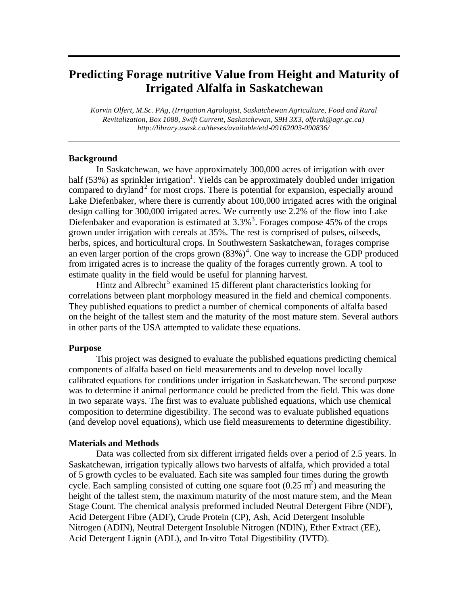## **Predicting Forage nutritive Value from Height and Maturity of Irrigated Alfalfa in Saskatchewan**

*Korvin Olfert, M.Sc. PAg, (Irrigation Agrologist, Saskatchewan Agriculture, Food and Rural Revitalization, Box 1088, Swift Current, Saskatchewan, S9H 3X3, olfertk@agr.gc.ca) http://library.usask.ca/theses/available/etd-09162003-090836/*

#### **Background**

In Saskatchewan, we have approximately 300,000 acres of irrigation with over half (53%) as sprinkler irrigation<sup>1</sup>. Yields can be approximately doubled under irrigation compared to dryland<sup>2</sup> for most crops. There is potential for expansion, especially around Lake Diefenbaker, where there is currently about 100,000 irrigated acres with the original design calling for 300,000 irrigated acres. We currently use 2.2% of the flow into Lake Diefenbaker and evaporation is estimated at  $3.3\%$ <sup>3</sup>. Forages compose 45% of the crops grown under irrigation with cereals at 35%. The rest is comprised of pulses, oilseeds, herbs, spices, and horticultural crops. In Southwestern Saskatchewan, forages comprise an even larger portion of the crops grown  $(83\%)^4$ . One way to increase the GDP produced from irrigated acres is to increase the quality of the forages currently grown. A tool to estimate quality in the field would be useful for planning harvest.

Hintz and Albrecht<sup>5</sup> examined 15 different plant characteristics looking for correlations between plant morphology measured in the field and chemical components. They published equations to predict a number of chemical components of alfalfa based on the height of the tallest stem and the maturity of the most mature stem. Several authors in other parts of the USA attempted to validate these equations.

#### **Purpose**

This project was designed to evaluate the published equations predicting chemical components of alfalfa based on field measurements and to develop novel locally calibrated equations for conditions under irrigation in Saskatchewan. The second purpose was to determine if animal performance could be predicted from the field. This was done in two separate ways. The first was to evaluate published equations, which use chemical composition to determine digestibility. The second was to evaluate published equations (and develop novel equations), which use field measurements to determine digestibility.

#### **Materials and Methods**

Data was collected from six different irrigated fields over a period of 2.5 years. In Saskatchewan, irrigation typically allows two harvests of alfalfa, which provided a total of 5 growth cycles to be evaluated. Each site was sampled four times during the growth cycle. Each sampling consisted of cutting one square foot  $(0.25 \text{ m}^2)$  and measuring the height of the tallest stem, the maximum maturity of the most mature stem, and the Mean Stage Count. The chemical analysis preformed included Neutral Detergent Fibre (NDF), Acid Detergent Fibre (ADF), Crude Protein (CP), Ash, Acid Detergent Insoluble Nitrogen (ADIN), Neutral Detergent Insoluble Nitrogen (NDIN), Ether Extract (EE), Acid Detergent Lignin (ADL), and In-vitro Total Digestibility (IVTD).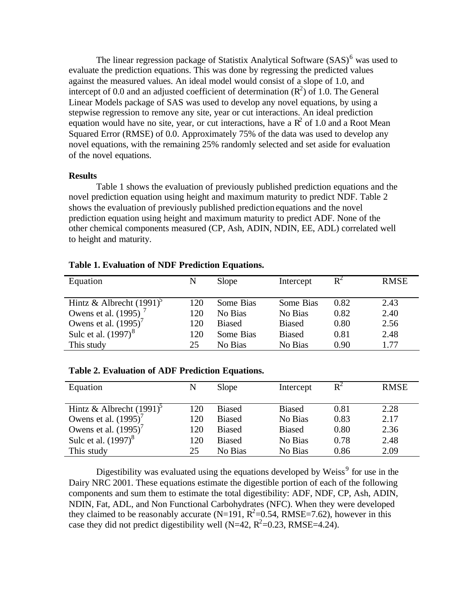The linear regression package of Statistix Analytical Software (SAS)<sup>6</sup> was used to evaluate the prediction equations. This was done by regressing the predicted values against the measured values. An ideal model would consist of a slope of 1.0, and intercept of 0.0 and an adjusted coefficient of determination  $(R^2)$  of 1.0. The General Linear Models package of SAS was used to develop any novel equations, by using a stepwise regression to remove any site, year or cut interactions. An ideal prediction equation would have no site, year, or cut interactions, have a  $R^2$  of 1.0 and a Root Mean Squared Error (RMSE) of 0.0. Approximately 75% of the data was used to develop any novel equations, with the remaining 25% randomly selected and set aside for evaluation of the novel equations.

#### **Results**

Table 1 shows the evaluation of previously published prediction equations and the novel prediction equation using height and maximum maturity to predict NDF. Table 2 shows the evaluation of previously published prediction equations and the novel prediction equation using height and maximum maturity to predict ADF. None of the other chemical components measured (CP, Ash, ADIN, NDIN, EE, ADL) correlated well to height and maturity.

| Equation                        | N   | Slope         | Intercept     | $R^2$ | <b>RMSE</b> |
|---------------------------------|-----|---------------|---------------|-------|-------------|
| Hintz & Albrecht $(1991)^5$     | 120 | Some Bias     | Some Bias     | 0.82  | 2.43        |
| Owens et al. (1995)             | 120 | No Bias       | No Bias       | 0.82  | 2.40        |
| Owens et al. $(1995)'$          | 120 | <b>Biased</b> | <b>Biased</b> | 0.80  | 2.56        |
| Sulc et al. (1997) <sup>8</sup> | 120 | Some Bias     | <b>Biased</b> | 0.81  | 2.48        |
| This study                      | 25  | No Bias       | No Bias       | 0.90  | 1.77        |

| Equation                               | N   | Slope         | Intercept     | $R^2$ | <b>RMSE</b> |
|----------------------------------------|-----|---------------|---------------|-------|-------------|
|                                        |     |               |               |       |             |
| Hintz & Albrecht $(1991)$ <sup>3</sup> | 120 | <b>Biased</b> | <b>Biased</b> | 0.81  | 2.28        |
| Owens et al. $(1995)^7$                | 120 | <b>Biased</b> | No Bias       | 0.83  | 2.17        |
| Owens et al. $(1995)^7$                | 120 | <b>Biased</b> | <b>Biased</b> | 0.80  | 2.36        |
| Sulc et al. (1997) <sup>8</sup>        | 120 | <b>Biased</b> | No Bias       | 0.78  | 2.48        |
| This study                             | 25  | No Bias       | No Bias       | 0.86  | 2.09        |

Digestibility was evaluated using the equations developed by Weiss<sup>9</sup> for use in the Dairy NRC 2001. These equations estimate the digestible portion of each of the following components and sum them to estimate the total digestibility: ADF, NDF, CP, Ash, ADIN, NDIN, Fat, ADL, and Non Functional Carbohydrates (NFC). When they were developed they claimed to be reasonably accurate (N=191,  $R^2$ =0.54, RMSE=7.62), however in this case they did not predict digestibility well (N=42,  $R^2$ =0.23, RMSE=4.24).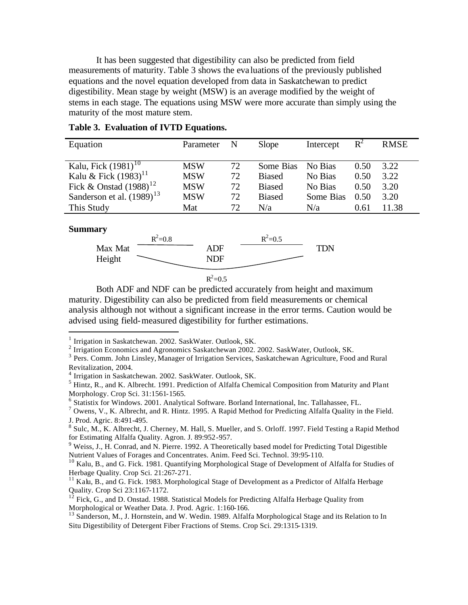It has been suggested that digestibility can also be predicted from field measurements of maturity. Table 3 shows the eva luations of the previously published equations and the novel equation developed from data in Saskatchewan to predict digestibility. Mean stage by weight (MSW) is an average modified by the weight of stems in each stage. The equations using MSW were more accurate than simply using the maturity of the most mature stem.

| Equation                       | Parameter  | N  | Slope         | Intercept | $R^2$ | <b>RMSE</b> |
|--------------------------------|------------|----|---------------|-----------|-------|-------------|
|                                |            |    |               |           |       |             |
| Kalu, Fick $(1981)^{10}$       | <b>MSW</b> | 72 | Some Bias     | No Bias   | 0.50  | 3.22        |
| Kalu & Fick $(1983)^{11}$      | <b>MSW</b> | 72 | <b>Biased</b> | No Bias   | 0.50  | 3.22        |
| Fick & Onstad $(1988)^{12}$    | <b>MSW</b> | 72 | <b>Biased</b> | No Bias   | 0.50  | 3.20        |
| Sanderson et al. $(1989)^{13}$ | <b>MSW</b> | 72 | <b>Biased</b> | Some Bias | 0.50  | 3.20        |
| This Study                     | Mat        | 72 | N/a           | N/a       | 0.61  | 11.38       |

#### **Table 3. Evaluation of IVTD Equations.**

#### **Summary**

 $\overline{a}$ 



 $R^2 = 0.5$ 

Both ADF and NDF can be predicted accurately from height and maximum maturity. Digestibility can also be predicted from field measurements or chemical analysis although not without a significant increase in the error terms. Caution would be advised using field-measured digestibility for further estimations.

<sup>&</sup>lt;sup>1</sup> Irrigation in Saskatchewan. 2002. SaskWater. Outlook, SK.

 $2$  Irrigation Economics and Agronomics Saskatchewan 2002. 2002. SaskWater, Outlook, SK.

<sup>&</sup>lt;sup>3</sup> Pers. Comm. John Linsley, Manager of Irrigation Services, Saskatchewan Agriculture, Food and Rural Revitalization, 2004.

<sup>4</sup> Irrigation in Saskatchewan. 2002. SaskWater. Outlook, SK.

<sup>&</sup>lt;sup>5</sup> Hintz, R., and K. Albrecht. 1991. Prediction of Alfalfa Chemical Composition from Maturity and Plant Morphology. Crop Sci. 31:1561-1565.

<sup>&</sup>lt;sup>6</sup> Statistix for Windows. 2001. Analytical Software. Borland International, Inc. Tallahassee, FL.

 $^7$  Owens, V., K. Albrecht, and R. Hintz. 1995. A Rapid Method for Predicting Alfalfa Quality in the Field. J. Prod. Agric. 8:491-495.

<sup>&</sup>lt;sup>8</sup> Sulc, M., K. Albrecht, J. Cherney, M. Hall, S. Mueller, and S. Orloff. 1997. Field Testing a Rapid Method for Estimating Alfalfa Quality. Agron. J. 89:952-957.

<sup>&</sup>lt;sup>9</sup> Weiss, J., H. Conrad, and N. Pierre. 1992. A Theoretically based model for Predicting Total Digestible Nutrient Values of Forages and Concentrates. Anim. Feed Sci. Technol. 39:95-110.

<sup>&</sup>lt;sup>10</sup> Kalu, B., and G. Fick. 1981. Quantifying Morphological Stage of Development of Alfalfa for Studies of Herbage Quality. Crop Sci. 21:267-271.

<sup>&</sup>lt;sup>11</sup> Kalu, B., and G. Fick. 1983. Morphological Stage of Development as a Predictor of Alfalfa Herbage Quality. Crop Sci 23:1167-1172.

 $12$  Fick, G., and D. Onstad. 1988. Statistical Models for Predicting Alfalfa Herbage Quality from Morphological or Weather Data. J. Prod. Agric. 1:160-166.

<sup>&</sup>lt;sup>13</sup> Sanderson, M., J. Hornstein, and W. Wedin. 1989. Alfalfa Morphological Stage and its Relation to In Situ Digestibility of Detergent Fiber Fractions of Stems. Crop Sci. 29:1315-1319.